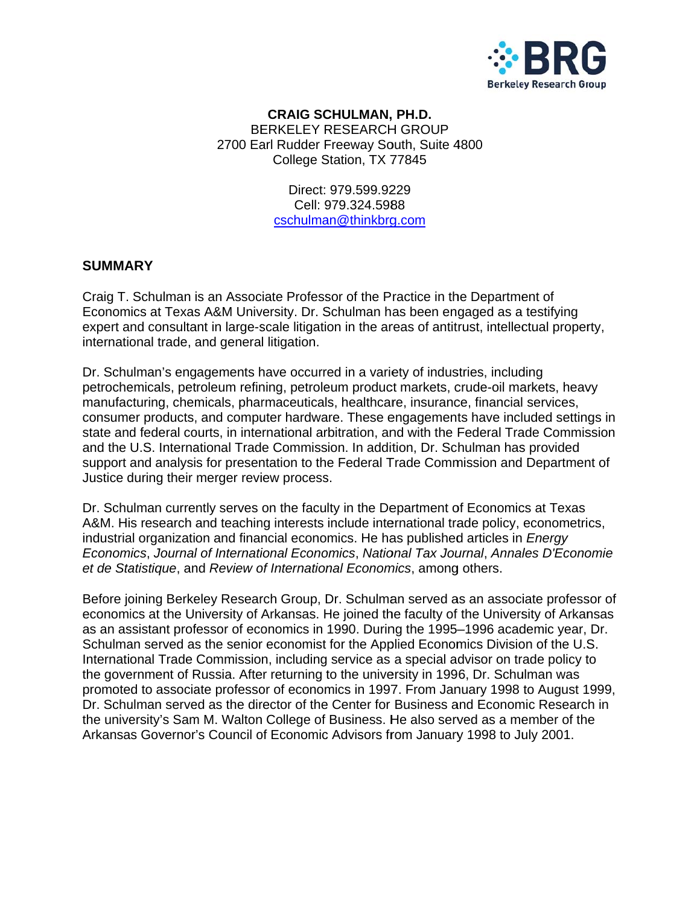

#### BERKELEY RESEARCH GROUP 2700 Earl Rudder Freeway South, Suite 4800 **CRAIG SC CHULMAN, PH.D.**  College S Station, TX 7 77845

Direct: 979.599.92 229 Cell: 979.324.5988 cschulman@thinkbrg.com

#### **SUMMA ARY**

Craig T. Schulman is an Associate Professor of the Practice in the Department of Economics at Texas A&M University. Dr. Schulman has been engaged as a testifying expert and consultant in large-scale litigation in the areas of antitrust, intellectual property, international trade, and general litigation.

Dr. Schulman's engagements have occurred in a variety of industries, including petrochemicals, petroleum refining, petroleum product markets, crude-oil markets, heavy manufacturing, chemicals, pharmaceuticals, healthcare, insurance, financial services, consumer products, and computer hardware. These engagements have included settings in state and federal courts, in international arbitration, and with the Federal Trade Commission and the U.S. International Trade Commission. In addition, Dr. Schulman has provided support and analysis for presentation to the Federal Trade Commission and Department of Justice during their merger review process.

Dr. Schulman currently serves on the faculty in the Department of Economics at Texas A&M. His research and teaching interests include international trade policy, econometrics, industrial organization and financial economics. He has published articles in *Energy* Economics, Journal of International Economics, National Tax Journal, Annales D'Economie et de Statistique, and Review of International Economics, among others.

Before joining Berkeley Research Group, Dr. Schulman served as an associate professor of economics at the University of Arkansas. He joined the faculty of the University of Arkansas as an assistant professor of economics in 1990. During the 1995–1996 academic year, Dr. Schulman served as the senior economist for the Applied Economics Division of the U.S. International Trade Commission, including service as a special advisor on trade policy to the government of Russia. After returning to the university in 1996, Dr. Schulman was promoted to associate professor of economics in 1997. From January 1998 to August 1999, Dr. Schulman served as the director of the Center for Business and Economic Research in the university's Sam M. Walton College of Business. He also served as a member of the Arkansas Governor's Council of Economic Advisors from January 1998 to July 2001.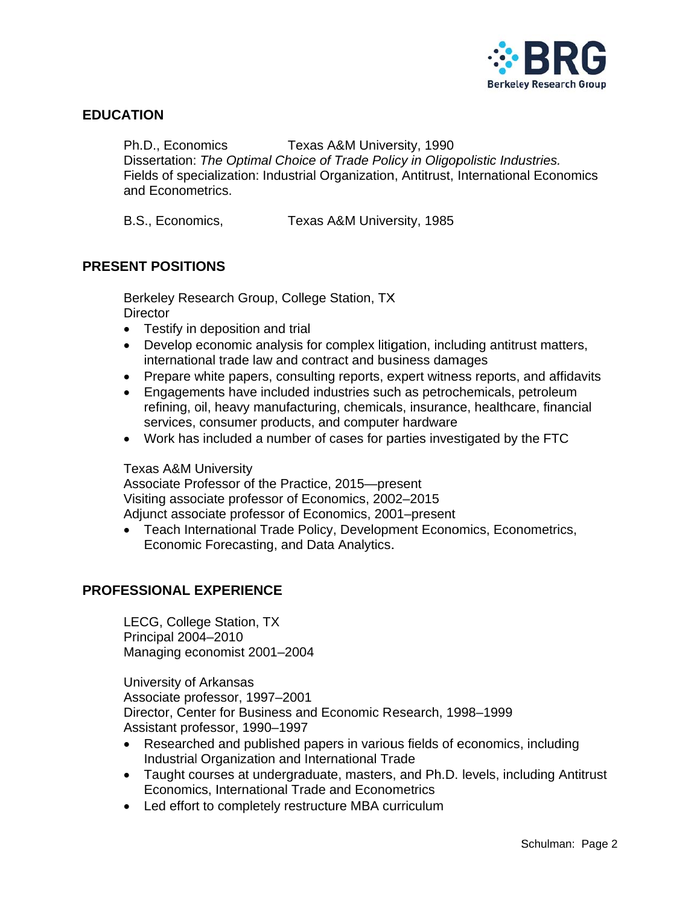

### **EDUCATION**

Ph.D., Economics Texas A&M University, 1990 Dissertation: The Optimal Choice of Trade Policy in Oligopolistic Industries. Fields of specialization: Industrial Organization, Antitrust, International Economics and Econometrics.

B.S., Economics, Texas A&M University, 1985

### **PRESENT POSITIONS**

Berkeley Research Group, College Station, TX **Director** 

- Testify in deposition and trial
- Develop economic analysis for complex litigation, including antitrust matters, international trade law and contract and business damages
- Prepare white papers, consulting reports, expert witness reports, and affidavits
- Engagements have included industries such as petrochemicals, petroleum refining, oil, heavy manufacturing, chemicals, insurance, healthcare, financial services, consumer products, and computer hardware
- Work has included a number of cases for parties investigated by the FTC

#### **Texas A&M University**

Associate Professor of the Practice, 2015-present Visiting associate professor of Economics, 2002-2015 Adjunct associate professor of Economics, 2001-present

• Teach International Trade Policy, Development Economics, Econometrics, Economic Forecasting, and Data Analytics.

### **PROFESSIONAL EXPERIENCE**

LECG, College Station, TX Principal 2004-2010 Managing economist 2001-2004

University of Arkansas Associate professor, 1997-2001 Director, Center for Business and Economic Research, 1998–1999 Assistant professor, 1990-1997

- Researched and published papers in various fields of economics, including Industrial Organization and International Trade
- Taught courses at undergraduate, masters, and Ph.D. levels, including Antitrust Economics, International Trade and Econometrics
- Led effort to completely restructure MBA curriculum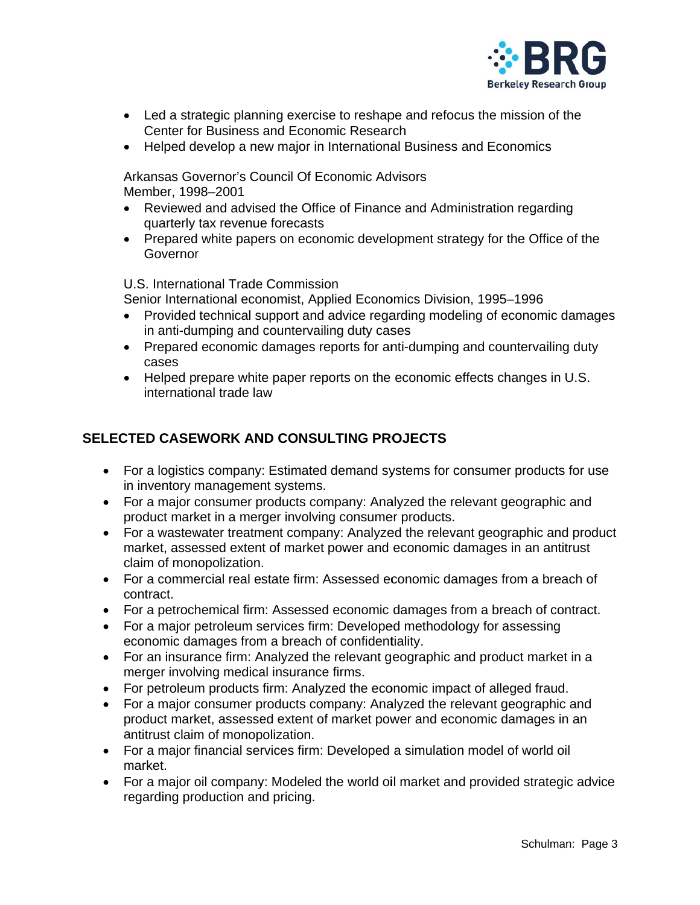

- Led a strategic planning exercise to reshape and refocus the mission of the Center for Business and Economic Research
- Helped develop a new major in International Business and Economics

Arkansas Governor's Council Of Economic Advisors Member, 1998-2001

- Reviewed and advised the Office of Finance and Administration regarding quarterly tax revenue forecasts
- Prepared white papers on economic development strategy for the Office of the Governor

U.S. International Trade Commission

Senior International economist, Applied Economics Division, 1995-1996

- Provided technical support and advice regarding modeling of economic damages in anti-dumping and countervailing duty cases
- Prepared economic damages reports for anti-dumping and countervailing duty cases
- Helped prepare white paper reports on the economic effects changes in U.S. international trade law

# SELECTED CASEWORK AND CONSULTING PROJECTS

- For a logistics company: Estimated demand systems for consumer products for use in inventory management systems.
- For a major consumer products company: Analyzed the relevant geographic and product market in a merger involving consumer products.
- For a wastewater treatment company: Analyzed the relevant geographic and product market, assessed extent of market power and economic damages in an antitrust claim of monopolization.
- For a commercial real estate firm: Assessed economic damages from a breach of contract.
- For a petrochemical firm: Assessed economic damages from a breach of contract.
- For a major petroleum services firm: Developed methodology for assessing economic damages from a breach of confidentiality.
- For an insurance firm: Analyzed the relevant geographic and product market in a merger involving medical insurance firms.
- For petroleum products firm: Analyzed the economic impact of alleged fraud.
- For a major consumer products company: Analyzed the relevant geographic and product market, assessed extent of market power and economic damages in an antitrust claim of monopolization.
- For a major financial services firm: Developed a simulation model of world oil market.
- For a major oil company: Modeled the world oil market and provided strategic advice regarding production and pricing.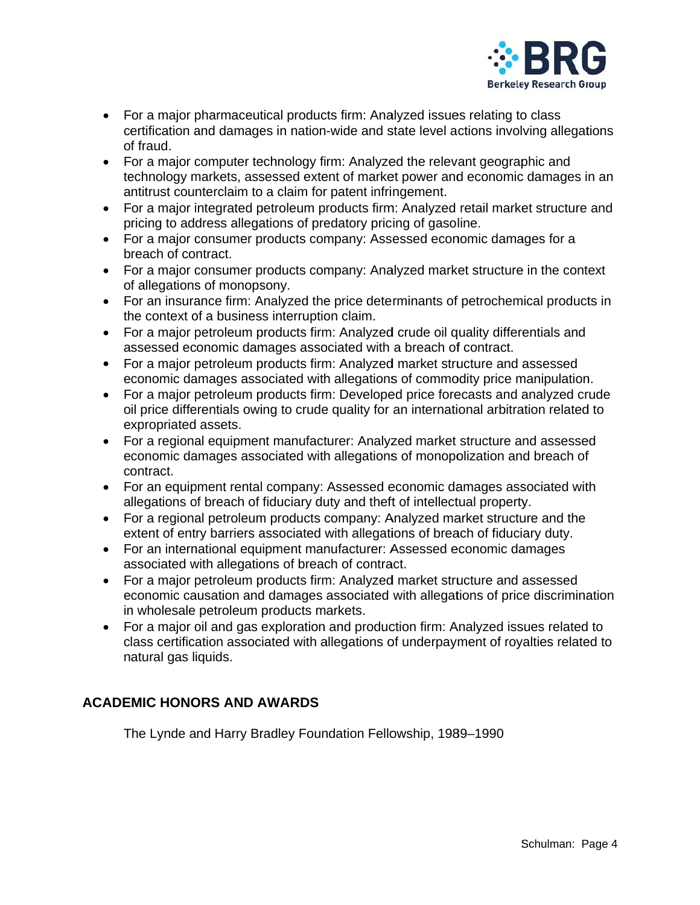

- For a major pharmaceutical products firm: Analyzed issues relating to class certification and damages in nation-wide and state level actions involving allegations of fraud.
- For a major computer technology firm: Analyzed the relevant geographic and technology markets, assessed extent of market power and economic damages in an antitrust counterclaim to a claim for patent infringement.
- For a major integrated petroleum products firm: Analyzed retail market structure and pricing to address allegations of predatory pricing of gasoline.
- For a major consumer products company: Assessed economic damages for a breach of contract.
- For a major consumer products company: Analyzed market structure in the context of allegations of monopsony.
- For an insurance firm: Analyzed the price determinants of petrochemical products in the context of a business interruption claim.
- For a major petroleum products firm: Analyzed crude oil quality differentials and assessed economic damages associated with a breach of contract.
- For a major petroleum products firm: Analyzed market structure and assessed economic damages associated with allegations of commodity price manipulation.
- For a major petroleum products firm: Developed price forecasts and analyzed crude oil price differentials owing to crude quality for an international arbitration related to expropriated assets.
- For a regional equipment manufacturer: Analyzed market structure and assessed economic damages associated with allegations of monopolization and breach of contract.
- For an equipment rental company: Assessed economic damages associated with allegations of breach of fiduciary duty and theft of intellectual property.
- For a regional petroleum products company: Analyzed market structure and the extent of entry barriers associated with allegations of breach of fiduciary duty.
- For an international equipment manufacturer: Assessed economic damages associated with allegations of breach of contract.
- For a major petroleum products firm: Analyzed market structure and assessed economic causation and damages associated with allegations of price discrimination in wholesale petroleum products markets.
- For a major oil and gas exploration and production firm: Analyzed issues related to class certification associated with allegations of underpayment of royalties related to natural gas liquids.

# **ACADEMIC HONORS AND AWARDS**

The Lynde and Harry Bradley Foundation Fellowship, 1989–1990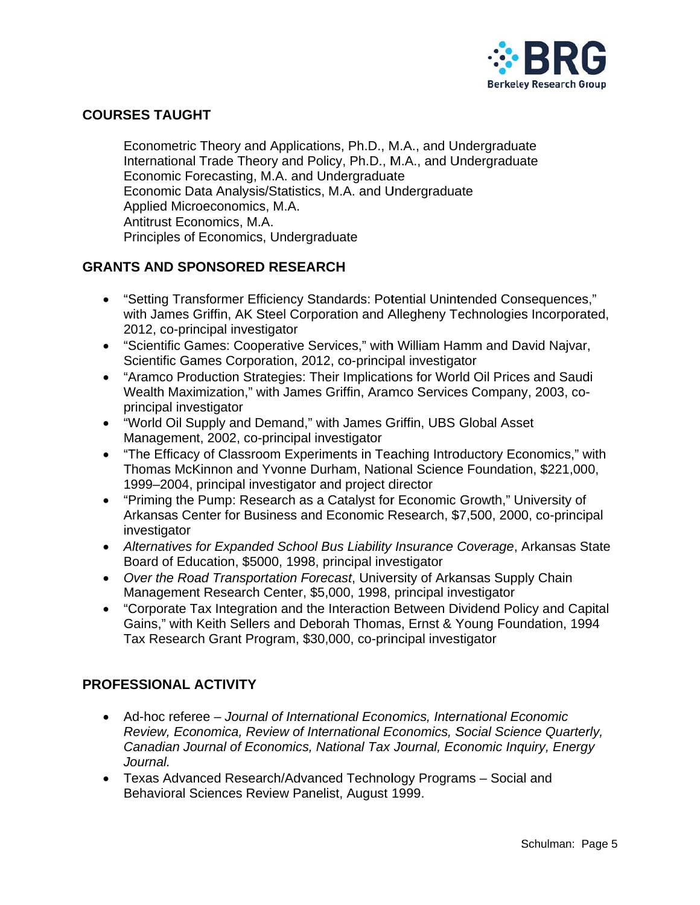

# **COURSES TAUGHT**

Econometric Theory and Applications, Ph.D., M.A., and Undergraduate International Trade Theory and Policy, Ph.D., M.A., and Undergraduate Economic Forecasting, M.A. and Undergraduate Economic Data Analysis/Statistics, M.A. and Undergraduate Applied Microeconomics, M.A. Antitrust Economics, M.A. Principles of Economics, Undergraduate

### **GRANTS AND SPONSORED RESEARCH**

- "Setting Transformer Efficiency Standards: Potential Unintended Consequences," with James Griffin, AK Steel Corporation and Allegheny Technologies Incorporated, 2012, co-principal investigator
- "Scientific Games: Cooperative Services," with William Hamm and David Najvar, Scientific Games Corporation, 2012, co-principal investigator
- "Aramco Production Strategies: Their Implications for World Oil Prices and Saudi Wealth Maximization," with James Griffin, Aramco Services Company, 2003, coprincipal investigator
- "World Oil Supply and Demand," with James Griffin, UBS Global Asset Management, 2002, co-principal investigator
- "The Efficacy of Classroom Experiments in Teaching Introductory Economics," with Thomas McKinnon and Yvonne Durham, National Science Foundation, \$221,000, 1999–2004, principal investigator and project director
- "Priming the Pump: Research as a Catalyst for Economic Growth," University of Arkansas Center for Business and Economic Research, \$7,500, 2000, co-principal investigator
- Alternatives for Expanded School Bus Liability Insurance Coverage, Arkansas State Board of Education, \$5000, 1998, principal investigator
- Over the Road Transportation Forecast, University of Arkansas Supply Chain Management Research Center, \$5,000, 1998, principal investigator
- "Corporate Tax Integration and the Interaction Between Dividend Policy and Capital Gains," with Keith Sellers and Deborah Thomas, Ernst & Young Foundation, 1994 Tax Research Grant Program, \$30,000, co-principal investigator

# **PROFESSIONAL ACTIVITY**

- Ad-hoc referee Journal of International Economics, International Economic Review, Economica, Review of International Economics, Social Science Quarterly, Canadian Journal of Economics, National Tax Journal, Economic Inquiry, Energy Journal.
- Texas Advanced Research/Advanced Technology Programs Social and Behavioral Sciences Review Panelist, August 1999.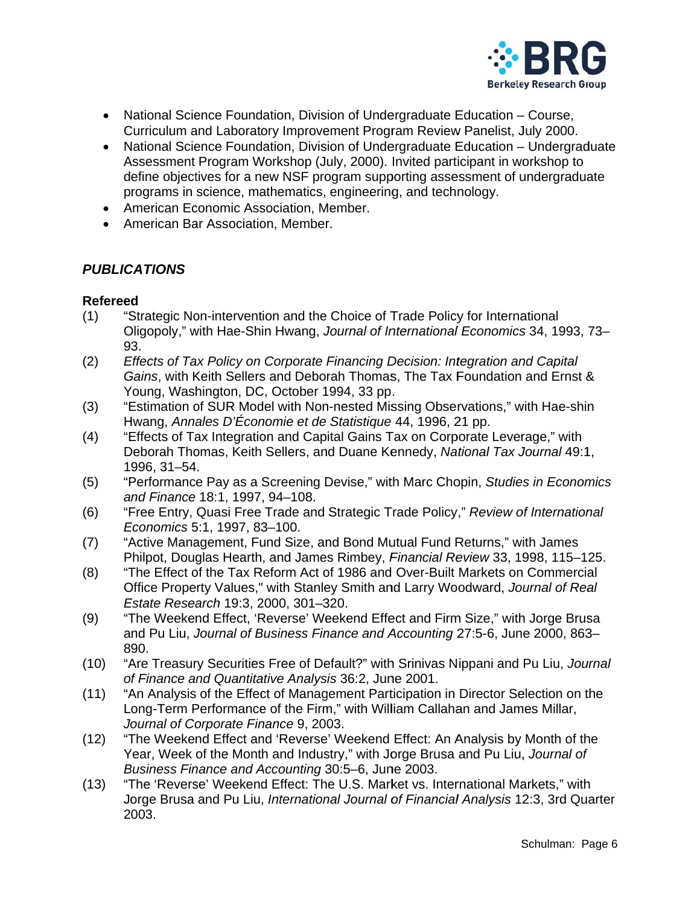

- National Science Foundation, Division of Undergraduate Education Course, Curriculum and Laboratory Improvement Program Review Panelist, July 2000.
- National Science Foundation, Division of Undergraduate Education Undergraduate Assessment Program Workshop (July, 2000). Invited participant in workshop to define objectives for a new NSF program supporting assessment of undergraduate programs in science, mathematics, engineering, and technology.
- American Economic Association, Member.
- American Bar Association, Member.

# **PUBLICATIONS**

### **Refereed**

- "Strategic Non-intervention and the Choice of Trade Policy for International  $(1)$ Oligopoly," with Hae-Shin Hwang, Journal of International Economics 34, 1993, 73– 93.
- $(2)$ Effects of Tax Policy on Corporate Financing Decision: Integration and Capital Gains, with Keith Sellers and Deborah Thomas, The Tax Foundation and Ernst & Young, Washington, DC, October 1994, 33 pp.
- $(3)$ "Estimation of SUR Model with Non-nested Missing Observations," with Hae-shin Hwang, Annales D'Économie et de Statistique 44, 1996, 21 pp.
- $(4)$ "Effects of Tax Integration and Capital Gains Tax on Corporate Leverage," with Deborah Thomas, Keith Sellers, and Duane Kennedy, National Tax Journal 49:1, 1996, 31-54.
- "Performance Pay as a Screening Devise," with Marc Chopin, Studies in Economics  $(5)$ and Finance 18:1, 1997, 94-108.
- "Free Entry, Quasi Free Trade and Strategic Trade Policy," Review of International  $(6)$ Economics 5:1, 1997, 83-100.
- "Active Management, Fund Size, and Bond Mutual Fund Returns," with James  $(7)$ Philpot, Douglas Hearth, and James Rimbey, *Financial Review* 33, 1998, 115–125.
- "The Effect of the Tax Reform Act of 1986 and Over-Built Markets on Commercial  $(8)$ Office Property Values," with Stanley Smith and Larry Woodward, Journal of Real Estate Research 19:3, 2000, 301-320.
- "The Weekend Effect, 'Reverse' Weekend Effect and Firm Size," with Jorge Brusa  $(9)$ and Pu Liu, Journal of Business Finance and Accounting 27:5-6, June 2000, 863-890.
- $(10)$ "Are Treasury Securities Free of Default?" with Srinivas Nippani and Pu Liu, Journal of Finance and Quantitative Analysis 36:2, June 2001.
- "An Analysis of the Effect of Management Participation in Director Selection on the  $(11)$ Long-Term Performance of the Firm," with William Callahan and James Millar, Journal of Corporate Finance 9, 2003.
- "The Weekend Effect and 'Reverse' Weekend Effect: An Analysis by Month of the  $(12)$ Year, Week of the Month and Industry," with Jorge Brusa and Pu Liu, Journal of Business Finance and Accounting 30:5-6, June 2003.
- $(13)$ "The 'Reverse' Weekend Effect: The U.S. Market vs. International Markets," with Jorge Brusa and Pu Liu, International Journal of Financial Analysis 12:3, 3rd Quarter 2003.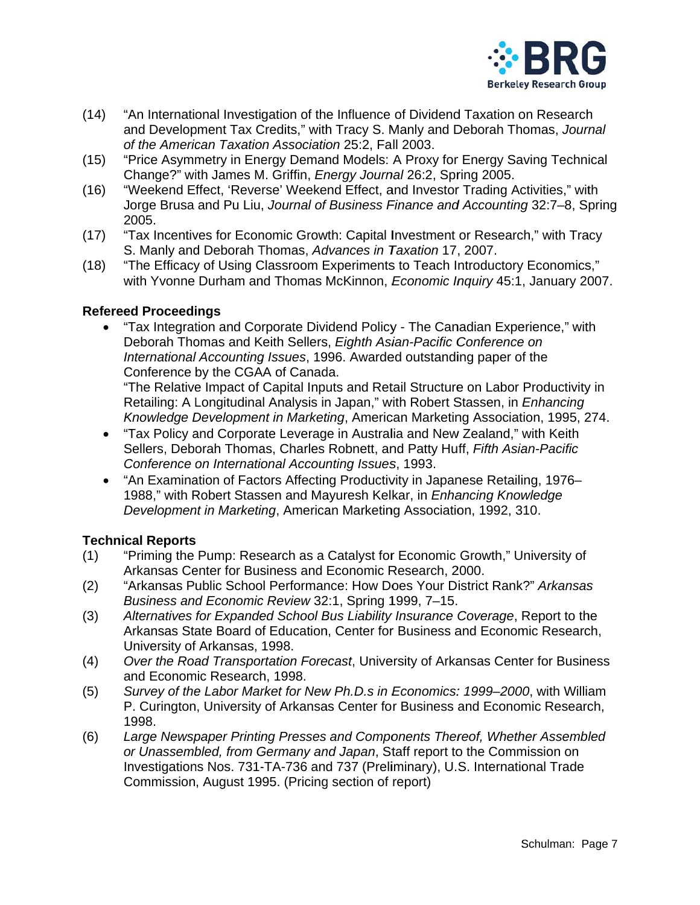

- $(14)$ "An International Investigation of the Influence of Dividend Taxation on Research and Development Tax Credits," with Tracy S. Manly and Deborah Thomas, Journal of the American Taxation Association 25:2, Fall 2003.
- "Price Asymmetry in Energy Demand Models: A Proxy for Energy Saving Technical  $(15)$ Change?" with James M. Griffin, Energy Journal 26:2, Spring 2005.
- $(16)$ "Weekend Effect, 'Reverse' Weekend Effect, and Investor Trading Activities," with Jorge Brusa and Pu Liu, Journal of Business Finance and Accounting 32:7-8, Spring 2005.
- "Tax Incentives for Economic Growth: Capital Investment or Research," with Tracy  $(17)$ S. Manly and Deborah Thomas, Advances in Taxation 17, 2007.
- "The Efficacy of Using Classroom Experiments to Teach Introductory Economics,"  $(18)$ with Yvonne Durham and Thomas McKinnon, Economic Inquiry 45:1, January 2007.

#### **Refereed Proceedings**

"Tax Integration and Corporate Dividend Policy - The Canadian Experience," with  $\bullet$ Deborah Thomas and Keith Sellers, Eighth Asian-Pacific Conference on International Accounting Issues, 1996. Awarded outstanding paper of the Conference by the CGAA of Canada.

"The Relative Impact of Capital Inputs and Retail Structure on Labor Productivity in Retailing: A Longitudinal Analysis in Japan," with Robert Stassen, in Enhancing Knowledge Development in Marketing, American Marketing Association, 1995, 274.

- "Tax Policy and Corporate Leverage in Australia and New Zealand," with Keith  $\bullet$ Sellers, Deborah Thomas, Charles Robnett, and Patty Huff, Fifth Asian-Pacific Conference on International Accounting Issues, 1993.
- "An Examination of Factors Affecting Productivity in Japanese Retailing, 1976– 1988," with Robert Stassen and Mayuresh Kelkar, in Enhancing Knowledge Development in Marketing, American Marketing Association, 1992, 310.

#### **Technical Reports**

- "Priming the Pump: Research as a Catalyst for Economic Growth," University of  $(1)$ Arkansas Center for Business and Economic Research, 2000.
- $(2)$ "Arkansas Public School Performance: How Does Your District Rank?" Arkansas Business and Economic Review 32:1, Spring 1999, 7-15.
- Alternatives for Expanded School Bus Liability Insurance Coverage, Report to the  $(3)$ Arkansas State Board of Education, Center for Business and Economic Research, University of Arkansas, 1998.
- $(4)$ Over the Road Transportation Forecast, University of Arkansas Center for Business and Economic Research, 1998.
- Survey of the Labor Market for New Ph.D.s in Economics: 1999-2000, with William  $(5)$ P. Curington, University of Arkansas Center for Business and Economic Research, 1998.
- $(6)$ Large Newspaper Printing Presses and Components Thereof, Whether Assembled or Unassembled, from Germany and Japan, Staff report to the Commission on Investigations Nos. 731-TA-736 and 737 (Preliminary), U.S. International Trade Commission, August 1995. (Pricing section of report)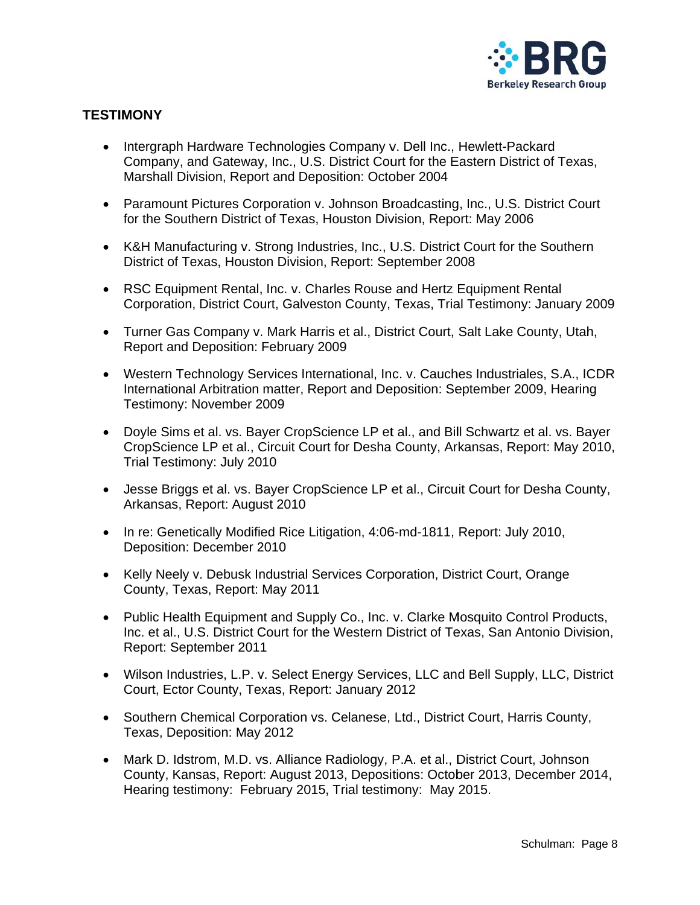

### **TESTIMONY**

- Intergraph Hardware Technologies Company v. Dell Inc., Hewlett-Packard Company, and Gateway, Inc., U.S. District Court for the Eastern District of Texas, Marshall Division, Report and Deposition: October 2004
- Paramount Pictures Corporation v. Johnson Broadcasting, Inc., U.S. District Court for the Southern District of Texas, Houston Division, Report: May 2006
- K&H Manufacturing v. Strong Industries, Inc., U.S. District Court for the Southern District of Texas, Houston Division, Report: September 2008
- RSC Equipment Rental, Inc. v. Charles Rouse and Hertz Equipment Rental Corporation, District Court, Galveston County, Texas, Trial Testimony: January 2009
- Turner Gas Company v. Mark Harris et al., District Court, Salt Lake County, Utah, Report and Deposition: February 2009
- Western Technology Services International, Inc. v. Cauches Industriales, S.A., ICDR International Arbitration matter, Report and Deposition: September 2009, Hearing Testimony: November 2009
- Doyle Sims et al. vs. Bayer CropScience LP et al., and Bill Schwartz et al. vs. Bayer CropScience LP et al., Circuit Court for Desha County, Arkansas, Report: May 2010, Trial Testimony: July 2010
- Jesse Briggs et al. vs. Bayer CropScience LP et al., Circuit Court for Desha County, Arkansas, Report: August 2010
- In re: Genetically Modified Rice Litigation, 4:06-md-1811, Report: July 2010, Deposition: December 2010
- Kelly Neely v. Debusk Industrial Services Corporation, District Court, Orange County, Texas, Report: May 2011
- Public Health Equipment and Supply Co., Inc. v. Clarke Mosquito Control Products, Inc. et al., U.S. District Court for the Western District of Texas, San Antonio Division, Report: September 2011
- Wilson Industries, L.P. v. Select Energy Services, LLC and Bell Supply, LLC, District Court, Ector County, Texas, Report: January 2012
- Southern Chemical Corporation vs. Celanese, Ltd., District Court, Harris County, Texas, Deposition: May 2012
- Mark D. Idstrom, M.D. vs. Alliance Radiology, P.A. et al., District Court, Johnson County, Kansas, Report: August 2013, Depositions: October 2013, December 2014, Hearing testimony: February 2015, Trial testimony: May 2015.